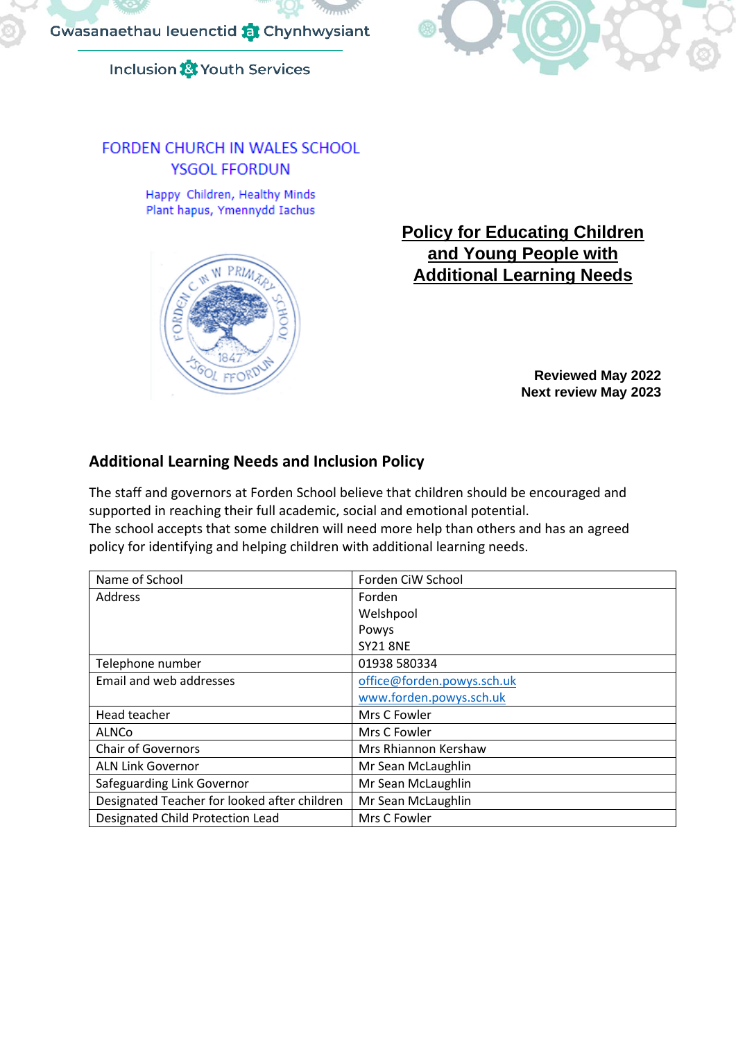

# **Inclusion & Youth Services**

# **FORDEN CHURCH IN WALES SCHOOL YSGOL FFORDUN**

Happy Children, Healthy Minds Plant hapus, Ymennydd Iachus



# **Policy for Educating Children and Young People with Additional Learning Needs**

**Reviewed May 2022 Next review May 2023**

# **Additional Learning Needs and Inclusion Policy**

The staff and governors at Forden School believe that children should be encouraged and supported in reaching their full academic, social and emotional potential. The school accepts that some children will need more help than others and has an agreed

policy for identifying and helping children with additional learning needs.

| Name of School                               | Forden CiW School          |
|----------------------------------------------|----------------------------|
| <b>Address</b>                               | Forden                     |
|                                              | Welshpool                  |
|                                              | Powys                      |
|                                              | <b>SY21 8NE</b>            |
| Telephone number                             | 01938 580334               |
| Email and web addresses                      | office@forden.powys.sch.uk |
|                                              | www.forden.powys.sch.uk    |
| Head teacher                                 | Mrs C Fowler               |
| <b>ALNCo</b>                                 | Mrs C Fowler               |
| <b>Chair of Governors</b>                    | Mrs Rhiannon Kershaw       |
| <b>ALN Link Governor</b>                     | Mr Sean McLaughlin         |
| Safeguarding Link Governor                   | Mr Sean McLaughlin         |
| Designated Teacher for looked after children | Mr Sean McLaughlin         |
| Designated Child Protection Lead             | Mrs C Fowler               |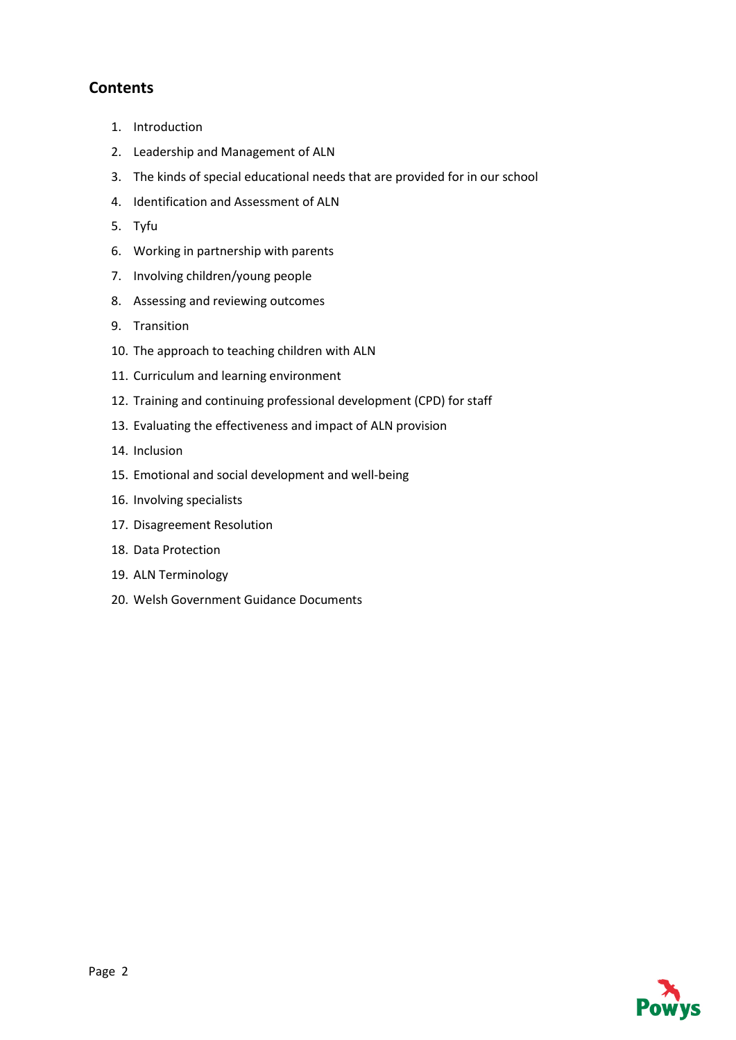# **Contents**

- 1. Introduction
- 2. Leadership and Management of ALN
- 3. The kinds of special educational needs that are provided for in our school
- 4. Identification and Assessment of ALN
- 5. Tyfu
- 6. Working in partnership with parents
- 7. Involving children/young people
- 8. Assessing and reviewing outcomes
- 9. Transition
- 10. The approach to teaching children with ALN
- 11. Curriculum and learning environment
- 12. Training and continuing professional development (CPD) for staff
- 13. Evaluating the effectiveness and impact of ALN provision
- 14. Inclusion
- 15. Emotional and social development and well-being
- 16. Involving specialists
- 17. Disagreement Resolution
- 18. Data Protection
- 19. ALN Terminology
- 20. Welsh Government Guidance Documents

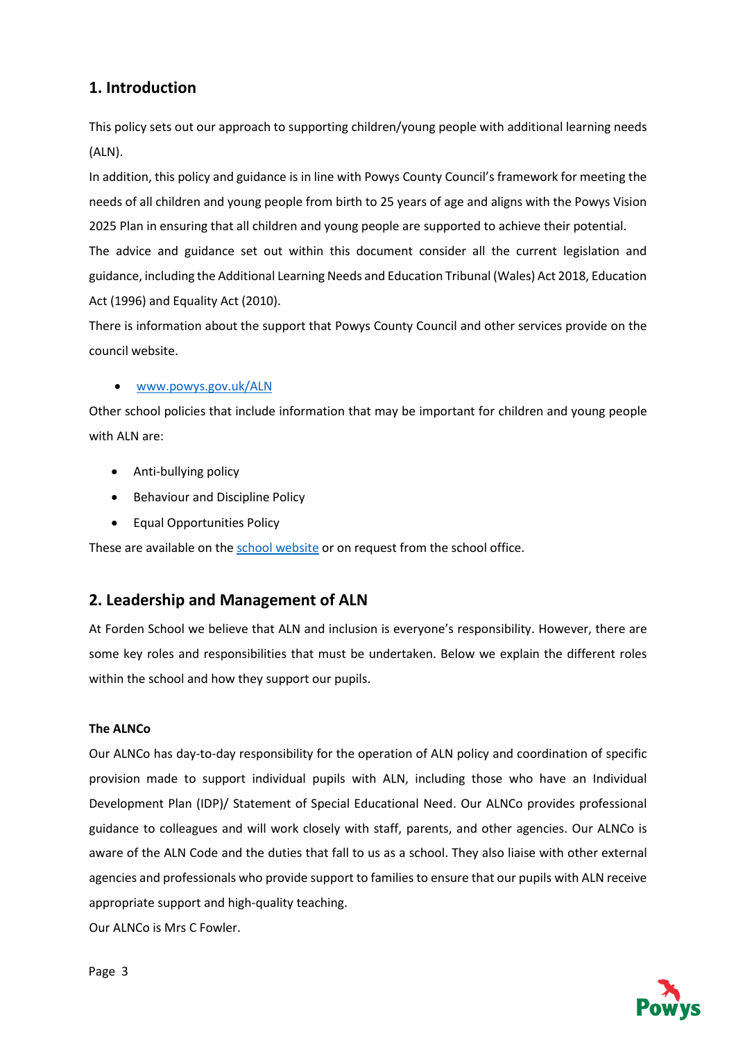# **1. Introduction**

This policy sets out our approach to supporting children/young people with additional learning needs (ALN).

In addition, this policy and guidance is in line with Powys County Council's framework for meeting the needs of all children and young people from birth to 25 years of age and aligns with the Powys Vision 2025 Plan in ensuring that all children and young people are supported to achieve their potential.

The advice and guidance set out within this document consider all the current legislation and guidance, including the Additional Learning Needs and Education Tribunal (Wales) Act 2018, Education Act (1996) and Equality Act (2010).

There is information about the support that Powys County Council and other services provide on the council website.

#### • [www.powys.gov.uk/ALN](http://www.powys.gov.uk/ALN)

Other school policies that include information that may be important for children and young people with ALN are:

- Anti-bullying policy
- Behaviour and Discipline Policy
- Equal Opportunities Policy

These are available on th[e school website](https://www.forden.powys.sch.uk/en_GB/blog/statutory-policies/) or on request from the school office.

# **2. Leadership and Management of ALN**

At Forden School we believe that ALN and inclusion is everyone's responsibility. However, there are some key roles and responsibilities that must be undertaken. Below we explain the different roles within the school and how they support our pupils.

#### **The ALNCo**

Our ALNCo has day-to-day responsibility for the operation of ALN policy and coordination of specific provision made to support individual pupils with ALN, including those who have an Individual Development Plan (IDP)/ Statement of Special Educational Need. Our ALNCo provides professional guidance to colleagues and will work closely with staff, parents, and other agencies. Our ALNCo is aware of the ALN Code and the duties that fall to us as a school. They also liaise with other external agencies and professionals who provide support to families to ensure that our pupils with ALN receive appropriate support and high-quality teaching.

Our ALNCo is Mrs C Fowler.

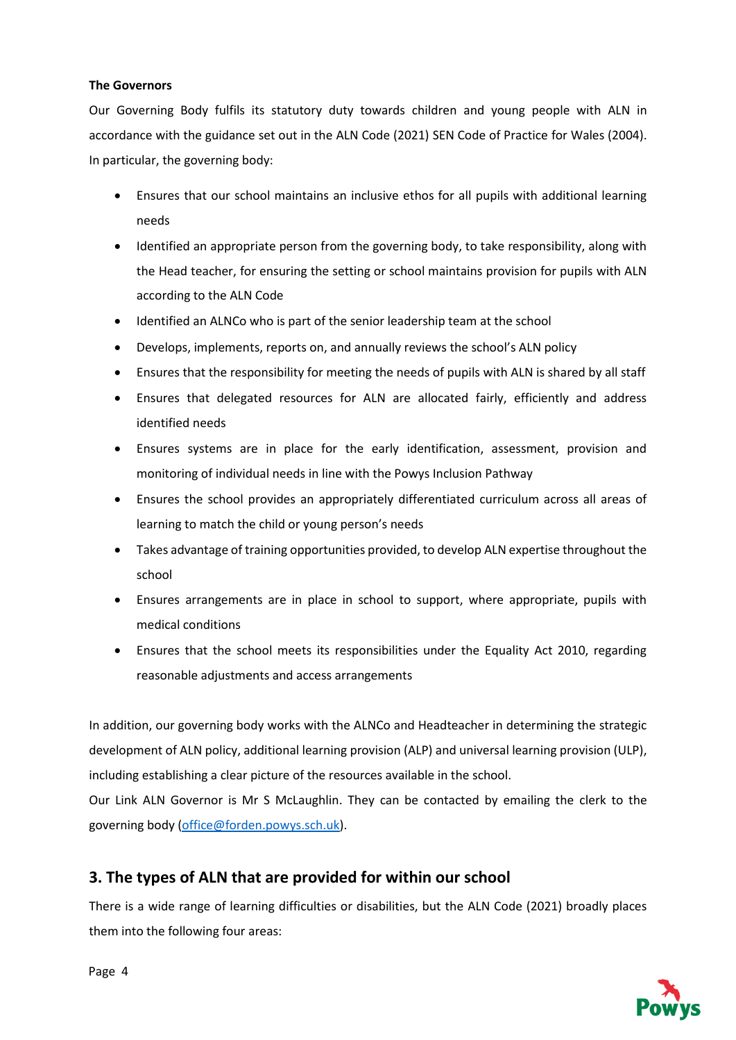#### **The Governors**

Our Governing Body fulfils its statutory duty towards children and young people with ALN in accordance with the guidance set out in the ALN Code (2021) SEN Code of Practice for Wales (2004). In particular, the governing body:

- Ensures that our school maintains an inclusive ethos for all pupils with additional learning needs
- Identified an appropriate person from the governing body, to take responsibility, along with the Head teacher, for ensuring the setting or school maintains provision for pupils with ALN according to the ALN Code
- Identified an ALNCo who is part of the senior leadership team at the school
- Develops, implements, reports on, and annually reviews the school's ALN policy
- Ensures that the responsibility for meeting the needs of pupils with ALN is shared by all staff
- Ensures that delegated resources for ALN are allocated fairly, efficiently and address identified needs
- Ensures systems are in place for the early identification, assessment, provision and monitoring of individual needs in line with the Powys Inclusion Pathway
- Ensures the school provides an appropriately differentiated curriculum across all areas of learning to match the child or young person's needs
- Takes advantage of training opportunities provided, to develop ALN expertise throughout the school
- Ensures arrangements are in place in school to support, where appropriate, pupils with medical conditions
- Ensures that the school meets its responsibilities under the Equality Act 2010, regarding reasonable adjustments and access arrangements

In addition, our governing body works with the ALNCo and Headteacher in determining the strategic development of ALN policy, additional learning provision (ALP) and universal learning provision (ULP), including establishing a clear picture of the resources available in the school.

Our Link ALN Governor is Mr S McLaughlin. They can be contacted by emailing the clerk to the governing body [\(office@forden.powys.sch.uk\)](mailto:office@forden.powys.sch.uk).

# **3. The types of ALN that are provided for within our school**

There is a wide range of learning difficulties or disabilities, but the ALN Code (2021) broadly places them into the following four areas:

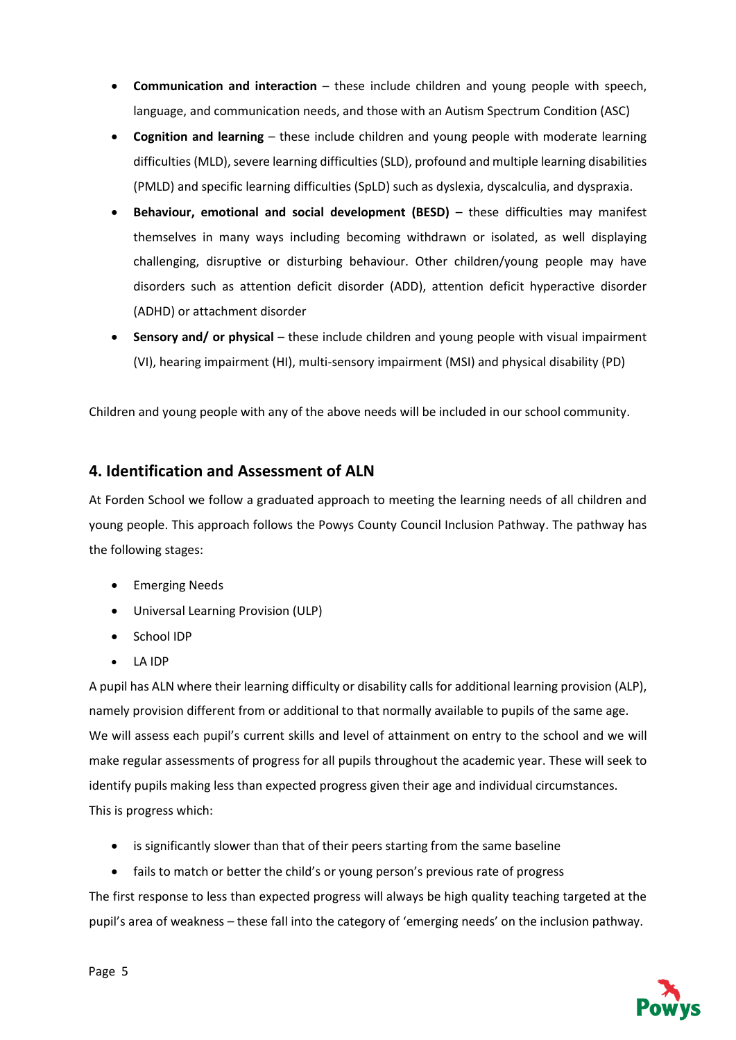- **Communication and interaction** these include children and young people with speech, language, and communication needs, and those with an Autism Spectrum Condition (ASC)
- **Cognition and learning** these include children and young people with moderate learning difficulties (MLD), severe learning difficulties (SLD), profound and multiple learning disabilities (PMLD) and specific learning difficulties (SpLD) such as dyslexia, dyscalculia, and dyspraxia.
- **Behaviour, emotional and social development (BESD)** these difficulties may manifest themselves in many ways including becoming withdrawn or isolated, as well displaying challenging, disruptive or disturbing behaviour. Other children/young people may have disorders such as attention deficit disorder (ADD), attention deficit hyperactive disorder (ADHD) or attachment disorder
- **Sensory and/ or physical** these include children and young people with visual impairment (VI), hearing impairment (HI), multi-sensory impairment (MSI) and physical disability (PD)

Children and young people with any of the above needs will be included in our school community.

## **4. Identification and Assessment of ALN**

At Forden School we follow a graduated approach to meeting the learning needs of all children and young people. This approach follows the Powys County Council Inclusion Pathway. The pathway has the following stages:

- Emerging Needs
- Universal Learning Provision (ULP)
- School IDP
- LA IDP

A pupil has ALN where their learning difficulty or disability calls for additional learning provision (ALP), namely provision different from or additional to that normally available to pupils of the same age. We will assess each pupil's current skills and level of attainment on entry to the school and we will make regular assessments of progress for all pupils throughout the academic year. These will seek to identify pupils making less than expected progress given their age and individual circumstances. This is progress which:

- is significantly slower than that of their peers starting from the same baseline
- fails to match or better the child's or young person's previous rate of progress

The first response to less than expected progress will always be high quality teaching targeted at the pupil's area of weakness – these fall into the category of 'emerging needs' on the inclusion pathway.

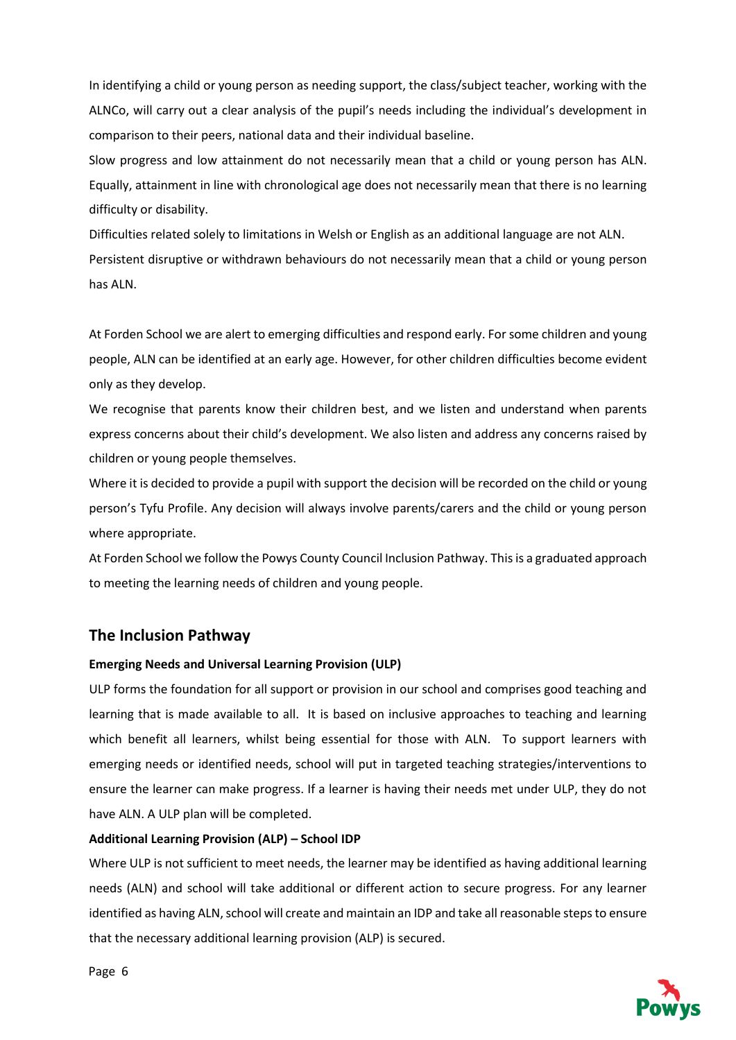In identifying a child or young person as needing support, the class/subject teacher, working with the ALNCo, will carry out a clear analysis of the pupil's needs including the individual's development in comparison to their peers, national data and their individual baseline.

Slow progress and low attainment do not necessarily mean that a child or young person has ALN. Equally, attainment in line with chronological age does not necessarily mean that there is no learning difficulty or disability.

Difficulties related solely to limitations in Welsh or English as an additional language are not ALN. Persistent disruptive or withdrawn behaviours do not necessarily mean that a child or young person has ALN.

At Forden School we are alert to emerging difficulties and respond early. For some children and young people, ALN can be identified at an early age. However, for other children difficulties become evident only as they develop.

We recognise that parents know their children best, and we listen and understand when parents express concerns about their child's development. We also listen and address any concerns raised by children or young people themselves.

Where it is decided to provide a pupil with support the decision will be recorded on the child or young person's Tyfu Profile. Any decision will always involve parents/carers and the child or young person where appropriate.

At Forden School we follow the Powys County Council Inclusion Pathway. This is a graduated approach to meeting the learning needs of children and young people.

### **The Inclusion Pathway**

#### **Emerging Needs and Universal Learning Provision (ULP)**

ULP forms the foundation for all support or provision in our school and comprises good teaching and learning that is made available to all. It is based on inclusive approaches to teaching and learning which benefit all learners, whilst being essential for those with ALN. To support learners with emerging needs or identified needs, school will put in targeted teaching strategies/interventions to ensure the learner can make progress. If a learner is having their needs met under ULP, they do not have ALN. A ULP plan will be completed.

#### **Additional Learning Provision (ALP) – School IDP**

Where ULP is not sufficient to meet needs, the learner may be identified as having additional learning needs (ALN) and school will take additional or different action to secure progress. For any learner identified as having ALN, school will create and maintain an IDP and take all reasonable steps to ensure that the necessary additional learning provision (ALP) is secured.

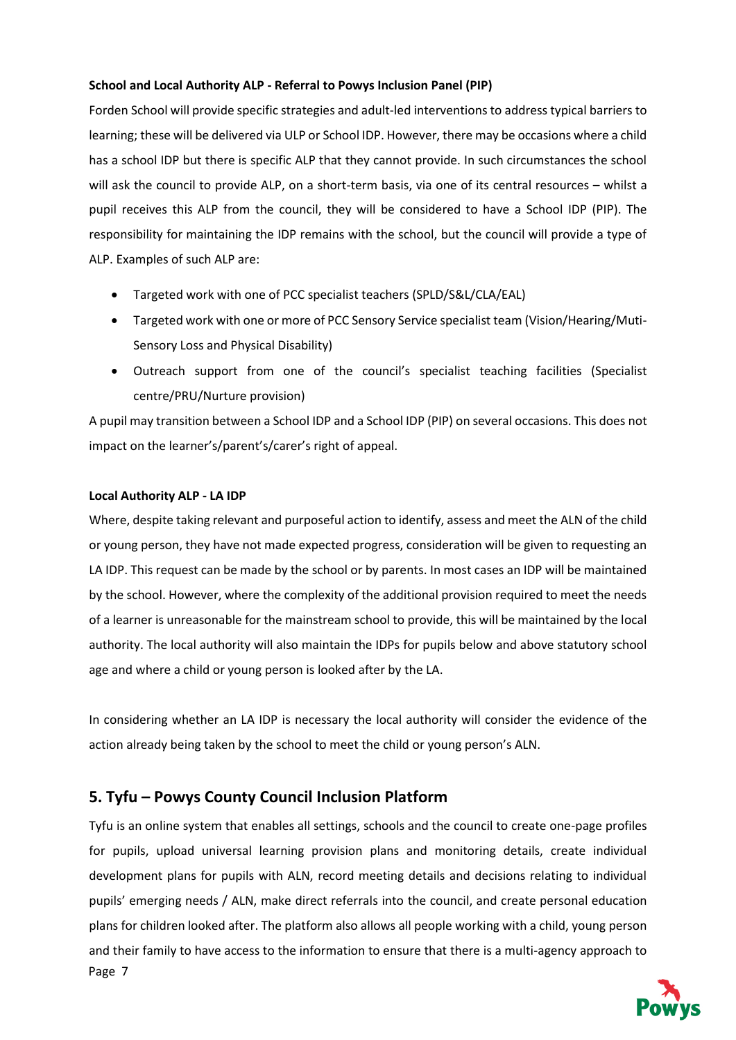#### **School and Local Authority ALP - Referral to Powys Inclusion Panel (PIP)**

Forden School will provide specific strategies and adult-led interventions to address typical barriers to learning; these will be delivered via ULP or School IDP. However, there may be occasions where a child has a school IDP but there is specific ALP that they cannot provide. In such circumstances the school will ask the council to provide ALP, on a short-term basis, via one of its central resources – whilst a pupil receives this ALP from the council, they will be considered to have a School IDP (PIP). The responsibility for maintaining the IDP remains with the school, but the council will provide a type of ALP. Examples of such ALP are:

- Targeted work with one of PCC specialist teachers (SPLD/S&L/CLA/EAL)
- Targeted work with one or more of PCC Sensory Service specialist team (Vision/Hearing/Muti-Sensory Loss and Physical Disability)
- Outreach support from one of the council's specialist teaching facilities (Specialist centre/PRU/Nurture provision)

A pupil may transition between a School IDP and a School IDP (PIP) on several occasions. This does not impact on the learner's/parent's/carer's right of appeal.

#### **Local Authority ALP - LA IDP**

Where, despite taking relevant and purposeful action to identify, assess and meet the ALN of the child or young person, they have not made expected progress, consideration will be given to requesting an LA IDP. This request can be made by the school or by parents. In most cases an IDP will be maintained by the school. However, where the complexity of the additional provision required to meet the needs of a learner is unreasonable for the mainstream school to provide, this will be maintained by the local authority. The local authority will also maintain the IDPs for pupils below and above statutory school age and where a child or young person is looked after by the LA.

In considering whether an LA IDP is necessary the local authority will consider the evidence of the action already being taken by the school to meet the child or young person's ALN.

# **5. Tyfu – Powys County Council Inclusion Platform**

Page 7 Tyfu is an online system that enables all settings, schools and the council to create one-page profiles for pupils, upload universal learning provision plans and monitoring details, create individual development plans for pupils with ALN, record meeting details and decisions relating to individual pupils' emerging needs / ALN, make direct referrals into the council, and create personal education plans for children looked after. The platform also allows all people working with a child, young person and their family to have access to the information to ensure that there is a multi-agency approach to

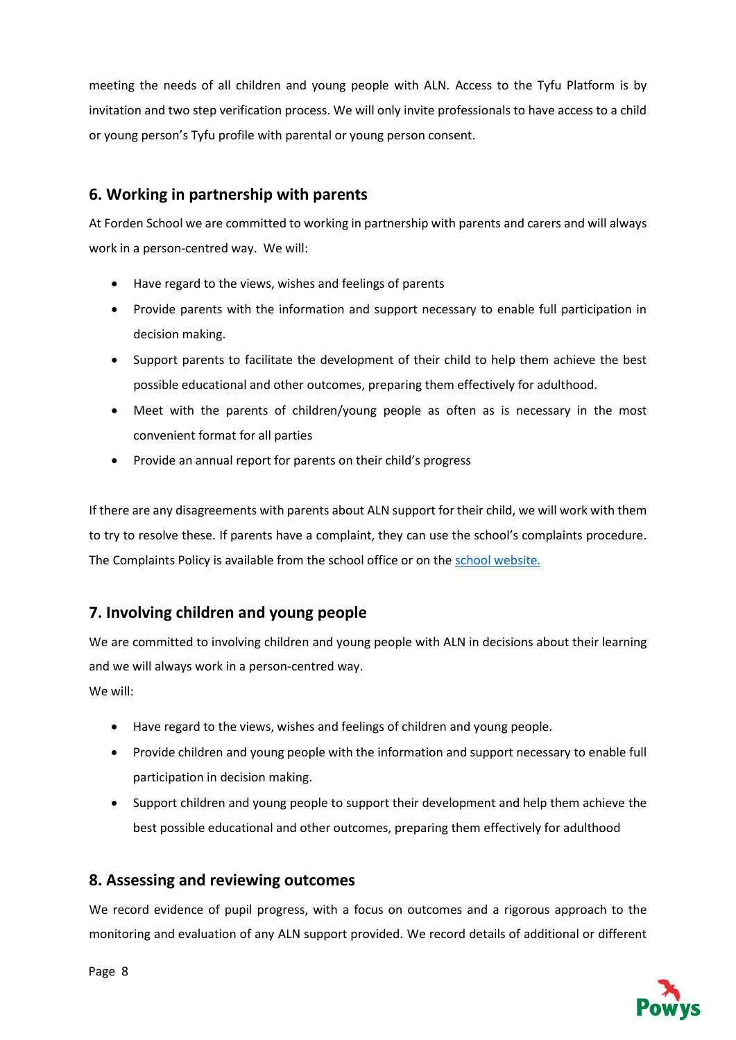meeting the needs of all children and young people with ALN. Access to the Tyfu Platform is by invitation and two step verification process. We will only invite professionals to have access to a child or young person's Tyfu profile with parental or young person consent.

# **6. Working in partnership with parents**

At Forden School we are committed to working in partnership with parents and carers and will always work in a person-centred way. We will:

- Have regard to the views, wishes and feelings of parents
- Provide parents with the information and support necessary to enable full participation in decision making.
- Support parents to facilitate the development of their child to help them achieve the best possible educational and other outcomes, preparing them effectively for adulthood.
- Meet with the parents of children/young people as often as is necessary in the most convenient format for all parties
- Provide an annual report for parents on their child's progress

If there are any disagreements with parents about ALN support for their child, we will work with them to try to resolve these. If parents have a complaint, they can use the school's complaints procedure. The Complaints Policy is available from the school office or on the [school website.](https://www.forden.powys.sch.uk/en_GB/blog/statutory-policies/)

# **7. Involving children and young people**

We are committed to involving children and young people with ALN in decisions about their learning and we will always work in a person-centred way. We will:

- Have regard to the views, wishes and feelings of children and young people.
- Provide children and young people with the information and support necessary to enable full participation in decision making.
- Support children and young people to support their development and help them achieve the best possible educational and other outcomes, preparing them effectively for adulthood

# **8. Assessing and reviewing outcomes**

We record evidence of pupil progress, with a focus on outcomes and a rigorous approach to the monitoring and evaluation of any ALN support provided. We record details of additional or different

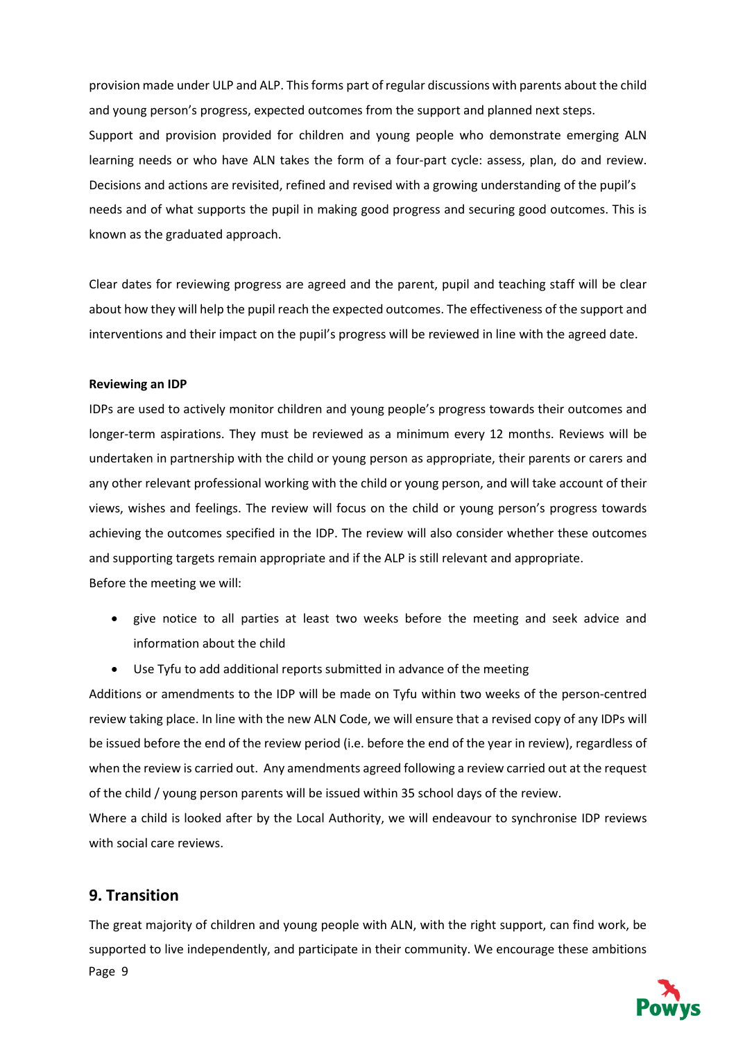provision made under ULP and ALP. This forms part of regular discussions with parents about the child and young person's progress, expected outcomes from the support and planned next steps. Support and provision provided for children and young people who demonstrate emerging ALN learning needs or who have ALN takes the form of a four-part cycle: assess, plan, do and review. Decisions and actions are revisited, refined and revised with a growing understanding of the pupil's needs and of what supports the pupil in making good progress and securing good outcomes. This is known as the graduated approach.

Clear dates for reviewing progress are agreed and the parent, pupil and teaching staff will be clear about how they will help the pupil reach the expected outcomes. The effectiveness of the support and interventions and their impact on the pupil's progress will be reviewed in line with the agreed date.

#### **Reviewing an IDP**

IDPs are used to actively monitor children and young people's progress towards their outcomes and longer-term aspirations. They must be reviewed as a minimum every 12 months. Reviews will be undertaken in partnership with the child or young person as appropriate, their parents or carers and any other relevant professional working with the child or young person, and will take account of their views, wishes and feelings. The review will focus on the child or young person's progress towards achieving the outcomes specified in the IDP. The review will also consider whether these outcomes and supporting targets remain appropriate and if the ALP is still relevant and appropriate. Before the meeting we will:

- give notice to all parties at least two weeks before the meeting and seek advice and information about the child
- Use Tyfu to add additional reports submitted in advance of the meeting

Additions or amendments to the IDP will be made on Tyfu within two weeks of the person-centred review taking place. In line with the new ALN Code, we will ensure that a revised copy of any IDPs will be issued before the end of the review period (i.e. before the end of the year in review), regardless of when the review is carried out. Any amendments agreed following a review carried out at the request of the child / young person parents will be issued within 35 school days of the review.

Where a child is looked after by the Local Authority, we will endeavour to synchronise IDP reviews with social care reviews.

#### **9. Transition**

Page 9 The great majority of children and young people with ALN, with the right support, can find work, be supported to live independently, and participate in their community. We encourage these ambitions

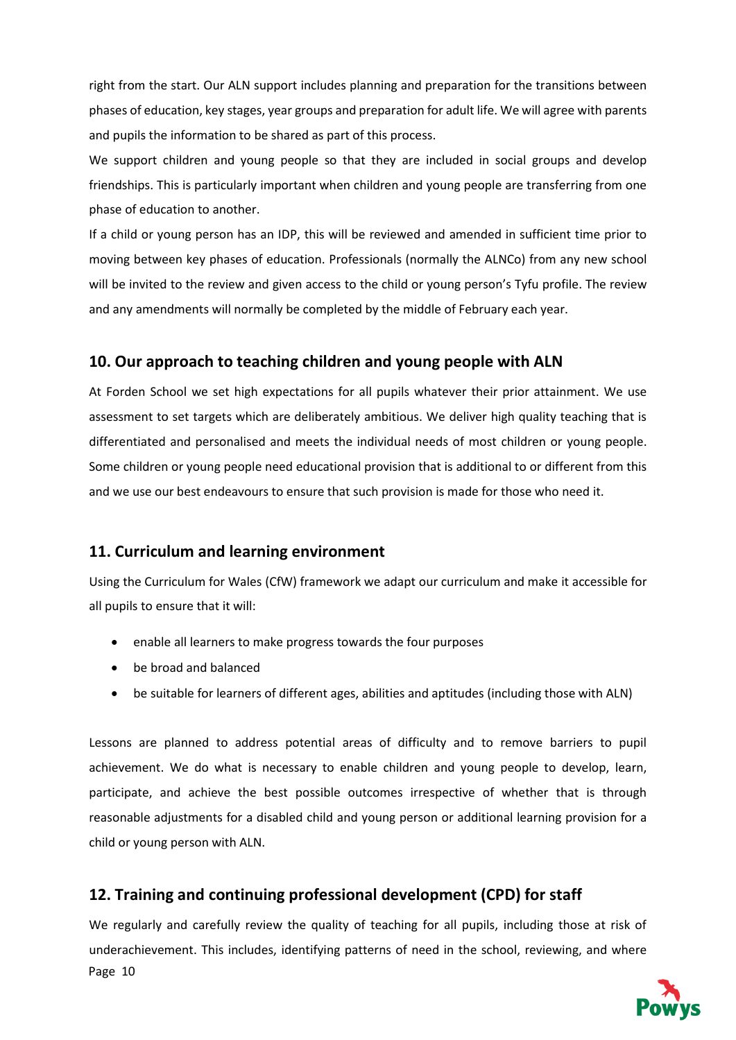right from the start. Our ALN support includes planning and preparation for the transitions between phases of education, key stages, year groups and preparation for adult life. We will agree with parents and pupils the information to be shared as part of this process.

We support children and young people so that they are included in social groups and develop friendships. This is particularly important when children and young people are transferring from one phase of education to another.

If a child or young person has an IDP, this will be reviewed and amended in sufficient time prior to moving between key phases of education. Professionals (normally the ALNCo) from any new school will be invited to the review and given access to the child or young person's Tyfu profile. The review and any amendments will normally be completed by the middle of February each year.

### **10. Our approach to teaching children and young people with ALN**

At Forden School we set high expectations for all pupils whatever their prior attainment. We use assessment to set targets which are deliberately ambitious. We deliver high quality teaching that is differentiated and personalised and meets the individual needs of most children or young people. Some children or young people need educational provision that is additional to or different from this and we use our best endeavours to ensure that such provision is made for those who need it.

### **11. Curriculum and learning environment**

Using the Curriculum for Wales (CfW) framework we adapt our curriculum and make it accessible for all pupils to ensure that it will:

- enable all learners to make progress towards the four purposes
- be broad and balanced
- be suitable for learners of different ages, abilities and aptitudes (including those with ALN)

Lessons are planned to address potential areas of difficulty and to remove barriers to pupil achievement. We do what is necessary to enable children and young people to develop, learn, participate, and achieve the best possible outcomes irrespective of whether that is through reasonable adjustments for a disabled child and young person or additional learning provision for a child or young person with ALN.

# **12. Training and continuing professional development (CPD) for staff**

Page 10 We regularly and carefully review the quality of teaching for all pupils, including those at risk of underachievement. This includes, identifying patterns of need in the school, reviewing, and where

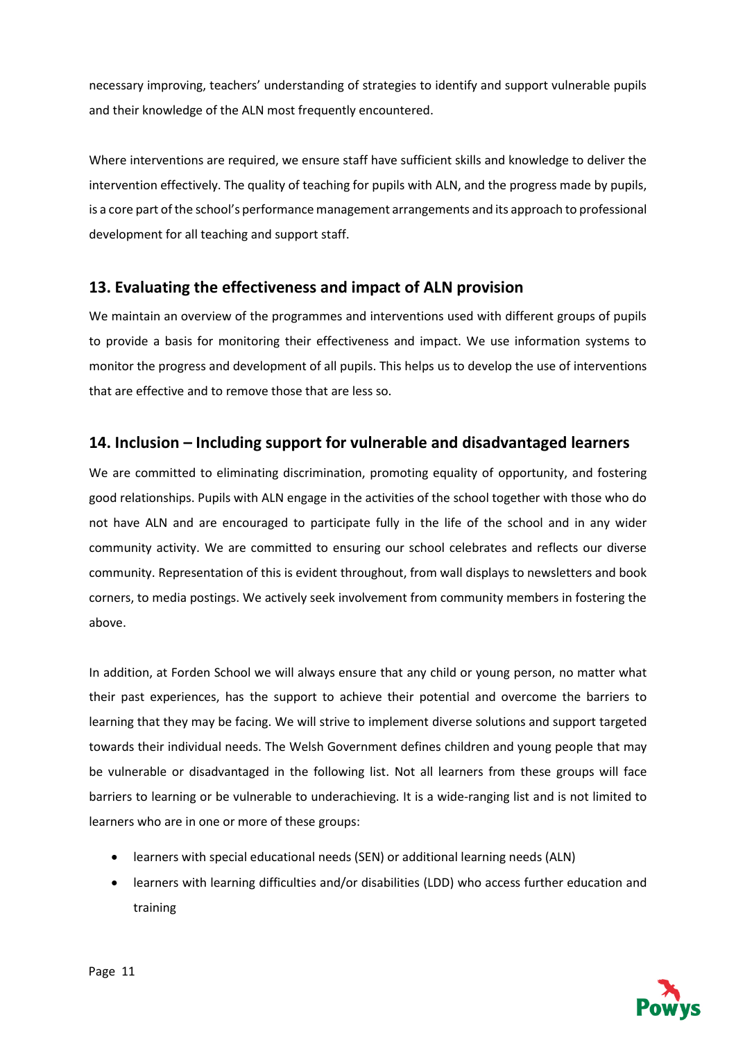necessary improving, teachers' understanding of strategies to identify and support vulnerable pupils and their knowledge of the ALN most frequently encountered.

Where interventions are required, we ensure staff have sufficient skills and knowledge to deliver the intervention effectively. The quality of teaching for pupils with ALN, and the progress made by pupils, is a core part of the school's performance management arrangements and its approach to professional development for all teaching and support staff.

# **13. Evaluating the effectiveness and impact of ALN provision**

We maintain an overview of the programmes and interventions used with different groups of pupils to provide a basis for monitoring their effectiveness and impact. We use information systems to monitor the progress and development of all pupils. This helps us to develop the use of interventions that are effective and to remove those that are less so.

## **14. Inclusion – Including support for vulnerable and disadvantaged learners**

We are committed to eliminating discrimination, promoting equality of opportunity, and fostering good relationships. Pupils with ALN engage in the activities of the school together with those who do not have ALN and are encouraged to participate fully in the life of the school and in any wider community activity. We are committed to ensuring our school celebrates and reflects our diverse community. Representation of this is evident throughout, from wall displays to newsletters and book corners, to media postings. We actively seek involvement from community members in fostering the above.

In addition, at Forden School we will always ensure that any child or young person, no matter what their past experiences, has the support to achieve their potential and overcome the barriers to learning that they may be facing. We will strive to implement diverse solutions and support targeted towards their individual needs. The Welsh Government defines children and young people that may be vulnerable or disadvantaged in the following list. Not all learners from these groups will face barriers to learning or be vulnerable to underachieving. It is a wide-ranging list and is not limited to learners who are in one or more of these groups:

- learners with special educational needs (SEN) or additional learning needs (ALN)
- learners with learning difficulties and/or disabilities (LDD) who access further education and training

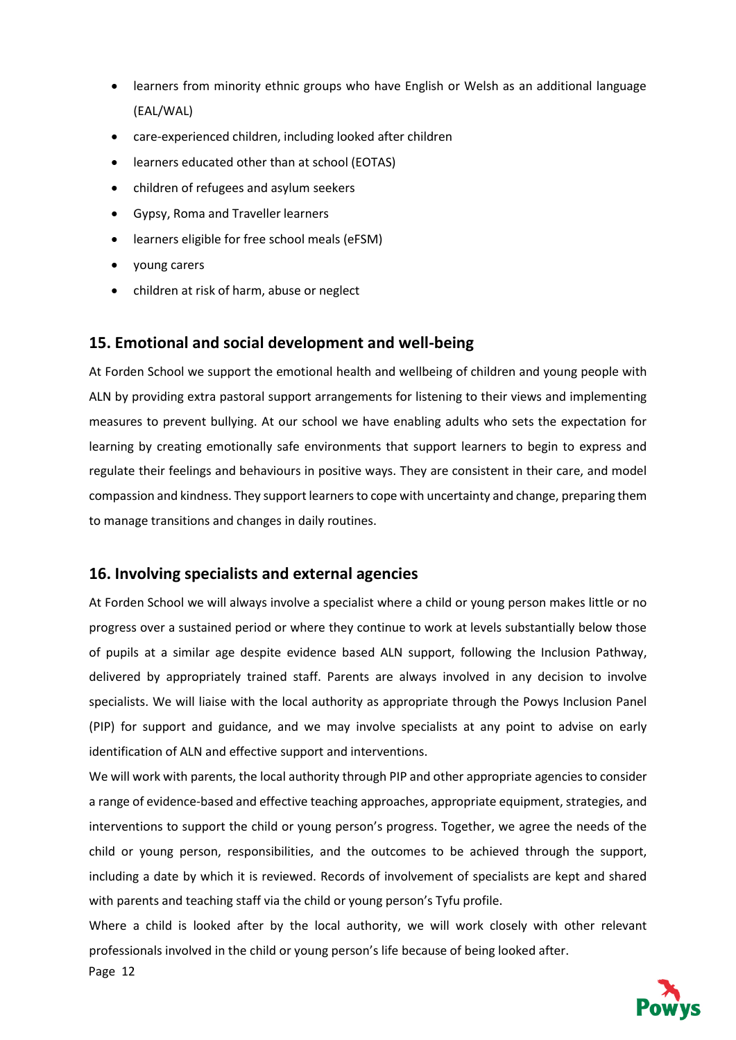- learners from minority ethnic groups who have English or Welsh as an additional language (EAL/WAL)
- care-experienced children, including looked after children
- learners educated other than at school (EOTAS)
- children of refugees and asylum seekers
- Gypsy, Roma and Traveller learners
- learners eligible for free school meals (eFSM)
- young carers
- children at risk of harm, abuse or neglect

#### **15. Emotional and social development and well-being**

At Forden School we support the emotional health and wellbeing of children and young people with ALN by providing extra pastoral support arrangements for listening to their views and implementing measures to prevent bullying. At our school we have enabling adults who sets the expectation for learning by creating emotionally safe environments that support learners to begin to express and regulate their feelings and behaviours in positive ways. They are consistent in their care, and model compassion and kindness. They support learners to cope with uncertainty and change, preparing them to manage transitions and changes in daily routines.

### **16. Involving specialists and external agencies**

At Forden School we will always involve a specialist where a child or young person makes little or no progress over a sustained period or where they continue to work at levels substantially below those of pupils at a similar age despite evidence based ALN support, following the Inclusion Pathway, delivered by appropriately trained staff. Parents are always involved in any decision to involve specialists. We will liaise with the local authority as appropriate through the Powys Inclusion Panel (PIP) for support and guidance, and we may involve specialists at any point to advise on early identification of ALN and effective support and interventions.

We will work with parents, the local authority through PIP and other appropriate agencies to consider a range of evidence-based and effective teaching approaches, appropriate equipment, strategies, and interventions to support the child or young person's progress. Together, we agree the needs of the child or young person, responsibilities, and the outcomes to be achieved through the support, including a date by which it is reviewed. Records of involvement of specialists are kept and shared with parents and teaching staff via the child or young person's Tyfu profile.

Where a child is looked after by the local authority, we will work closely with other relevant professionals involved in the child or young person's life because of being looked after.

Page 12

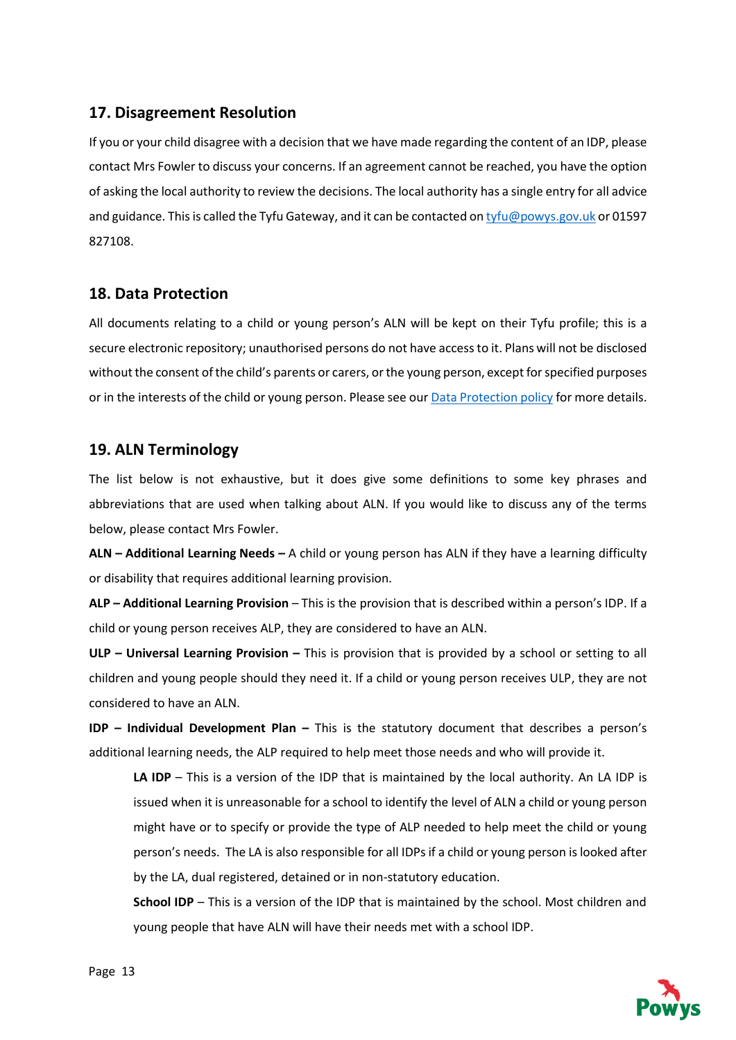## **17. Disagreement Resolution**

If you or your child disagree with a decision that we have made regarding the content of an IDP, please contact Mrs Fowler to discuss your concerns. If an agreement cannot be reached, you have the option of asking the local authority to review the decisions. The local authority has a single entry for all advice and guidance. This is called the Tyfu Gateway, and it can be contacted o[n tyfu@powys.gov.uk](mailto:tyfu@powys.gov.uk) or 01597 827108.

## **18. Data Protection**

All documents relating to a child or young person's ALN will be kept on their Tyfu profile; this is a secure electronic repository; unauthorised persons do not have access to it. Plans will not be disclosed without the consent of the child's parents or carers, or the young person, except for specified purposes or in the interests of the child or young person. Please see our **Data Protection policy** for more details.

## **19. ALN Terminology**

The list below is not exhaustive, but it does give some definitions to some key phrases and abbreviations that are used when talking about ALN. If you would like to discuss any of the terms below, please contact Mrs Fowler.

**ALN – Additional Learning Needs –** A child or young person has ALN if they have a learning difficulty or disability that requires additional learning provision.

**ALP – Additional Learning Provision** – This is the provision that is described within a person's IDP. If a child or young person receives ALP, they are considered to have an ALN.

**ULP – Universal Learning Provision –** This is provision that is provided by a school or setting to all children and young people should they need it. If a child or young person receives ULP, they are not considered to have an ALN.

**IDP – Individual Development Plan –** This is the statutory document that describes a person's additional learning needs, the ALP required to help meet those needs and who will provide it.

**LA IDP** – This is a version of the IDP that is maintained by the local authority. An LA IDP is issued when it is unreasonable for a school to identify the level of ALN a child or young person might have or to specify or provide the type of ALP needed to help meet the child or young person's needs. The LA is also responsible for all IDPs if a child or young person is looked after by the LA, dual registered, detained or in non-statutory education.

**School IDP** – This is a version of the IDP that is maintained by the school. Most children and young people that have ALN will have their needs met with a school IDP.

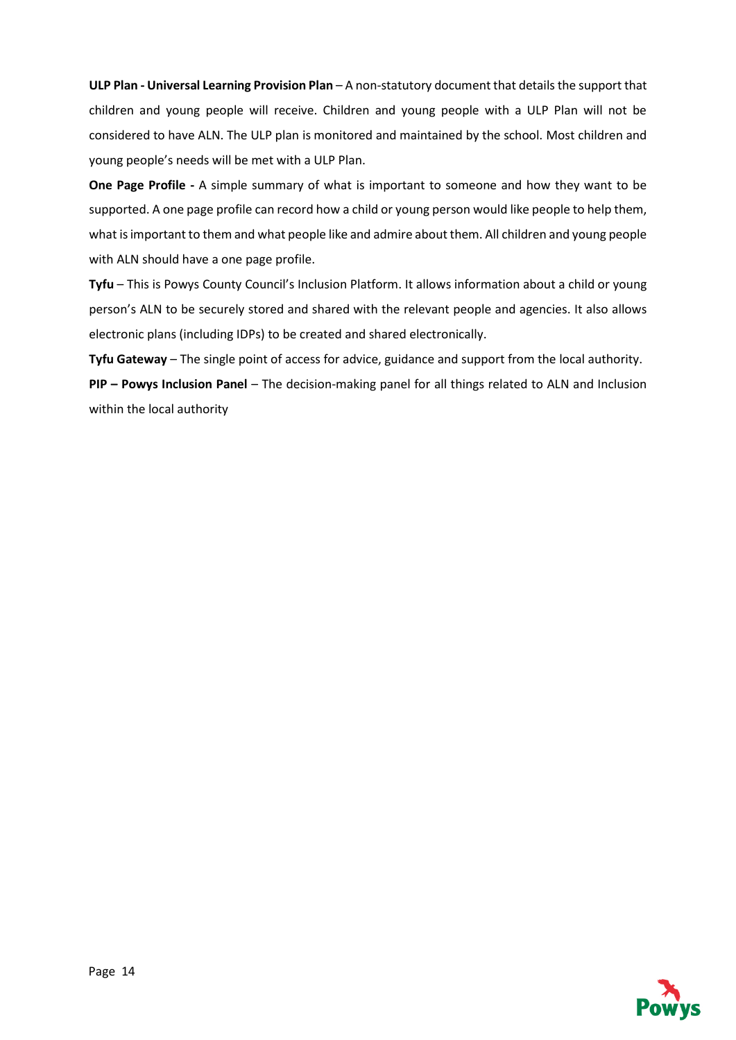**ULP Plan - Universal Learning Provision Plan** – A non-statutory document that details the support that children and young people will receive. Children and young people with a ULP Plan will not be considered to have ALN. The ULP plan is monitored and maintained by the school. Most children and young people's needs will be met with a ULP Plan.

**One Page Profile -** A simple summary of what is important to someone and how they want to be supported. A one page profile can record how a child or young person would like people to help them, what is important to them and what people like and admire about them. All children and young people with ALN should have a one page profile.

**Tyfu** – This is Powys County Council's Inclusion Platform. It allows information about a child or young person's ALN to be securely stored and shared with the relevant people and agencies. It also allows electronic plans (including IDPs) to be created and shared electronically.

**Tyfu Gateway** – The single point of access for advice, guidance and support from the local authority. **PIP – Powys Inclusion Panel** – The decision-making panel for all things related to ALN and Inclusion within the local authority